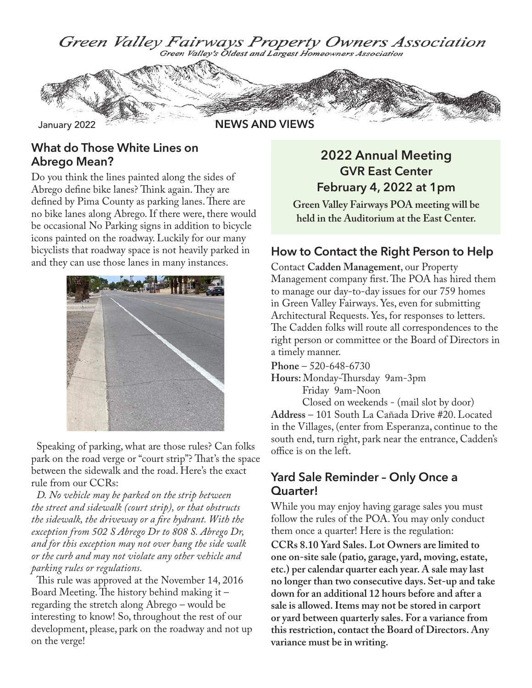

#### **What do Those White Lines on Abrego Mean?**

Do you think the lines painted along the sides of Abrego define bike lanes? Think again. They are defined by Pima County as parking lanes. There are no bike lanes along Abrego. If there were, there would be occasional No Parking signs in addition to bicycle icons painted on the roadway. Luckily for our many bicyclists that roadway space is not heavily parked in and they can use those lanes in many instances.



Speaking of parking, what are those rules? Can folks park on the road verge or "court strip"? That's the space between the sidewalk and the road. Here's the exact rule from our CCRs:

*D. No vehicle may be parked on the strip between the street and sidewalk (court strip), or that obstructs the sidewalk, the driveway or a fire hydrant. With the exception from 502 S Abrego Dr to 808 S. Abrego Dr, and for this exception may not over hang the side walk or the curb and may not violate any other vehicle and parking rules or regulations.*

This rule was approved at the November 14, 2016 Board Meeting. The history behind making it – regarding the stretch along Abrego – would be interesting to know! So, throughout the rest of our development, please, park on the roadway and not up on the verge!

## **2022 Annual Meeting GVR East Center February 4, 2022 at 1pm**

**Green Valley Fairways POA meeting will be held in the Auditorium at the East Center.**

#### **How to Contact the Right Person to Help**

Contact **Cadden Management**, our Property Management company first. The POA has hired them to manage our day-to-day issues for our 759 homes in Green Valley Fairways. Yes, even for submitting Architectural Requests. Yes, for responses to letters. The Cadden folks will route all correspondences to the right person or committee or the Board of Directors in a timely manner.

**Phone** – 520-648-6730

**Hours:** Monday-Thursday 9am-3pm Friday 9am-Noon

Closed on weekends - (mail slot by door) **Address** – 101 South La Cañada Drive #20. Located in the Villages, (enter from Esperanza, continue to the south end, turn right, park near the entrance, Cadden's office is on the left.

#### **Yard Sale Reminder – Only Once a Quarter!**

While you may enjoy having garage sales you must follow the rules of the POA. You may only conduct them once a quarter! Here is the regulation:

**CCRs 8.10 Yard Sales. Lot Owners are limited to one on-site sale (patio, garage, yard, moving, estate, etc.) per calendar quarter each year. A sale may last no longer than two consecutive days. Set-up and take down for an additional 12 hours before and after a sale is allowed. Items may not be stored in carport or yard between quarterly sales. For a variance from this restriction, contact the Board of Directors. Any variance must be in writing.**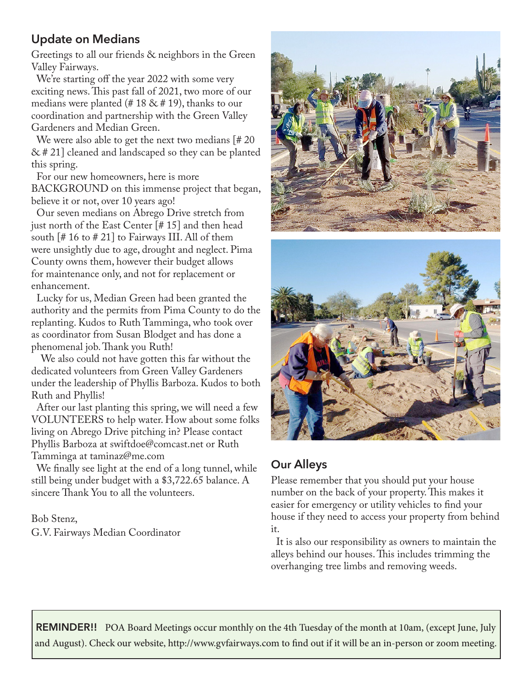## **Update on Medians**

Greetings to all our friends & neighbors in the Green Valley Fairways.

We're starting off the year 2022 with some very exciting news. This past fall of 2021, two more of our medians were planted (#18 & #19), thanks to our coordination and partnership with the Green Valley Gardeners and Median Green.

We were also able to get the next two medians [#20] & # 21] cleaned and landscaped so they can be planted this spring.

For our new homeowners, here is more BACKGROUND on this immense project that began, believe it or not, over 10 years ago!

Our seven medians on Abrego Drive stretch from just north of the East Center [# 15] and then head south [# 16 to # 21] to Fairways III. All of them were unsightly due to age, drought and neglect. Pima County owns them, however their budget allows for maintenance only, and not for replacement or enhancement.

Lucky for us, Median Green had been granted the authority and the permits from Pima County to do the replanting. Kudos to Ruth Tamminga, who took over as coordinator from Susan Blodget and has done a phenomenal job. Thank you Ruth!

We also could not have gotten this far without the dedicated volunteers from Green Valley Gardeners under the leadership of Phyllis Barboza. Kudos to both Ruth and Phyllis!

After our last planting this spring, we will need a few VOLUNTEERS to help water. How about some folks living on Abrego Drive pitching in? Please contact Phyllis Barboza at swiftdoe@comcast.net or Ruth Tamminga at taminaz@me.com

We finally see light at the end of a long tunnel, while still being under budget with a \$3,722.65 balance. A sincere Thank You to all the volunteers.

Bob Stenz,

G.V. Fairways Median Coordinator





# **Our Alleys**

Please remember that you should put your house number on the back of your property. This makes it easier for emergency or utility vehicles to find your house if they need to access your property from behind it.

It is also our responsibility as owners to maintain the alleys behind our houses. This includes trimming the overhanging tree limbs and removing weeds.

**REMINDER!!** POA Board Meetings occur monthly on the 4th Tuesday of the month at 10am, (except June, July and August). Check our website, http://www.gvfairways.com to find out if it will be an in-person or zoom meeting.